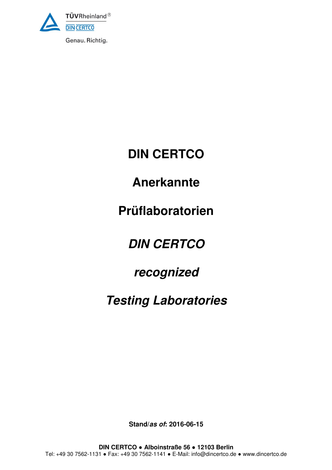

Genau. Richtig.

# **DIN CERTCO**

## **Anerkannte**

# **Prüflaboratorien**

# **DIN CERTCO**

## **recognized**

# **Testing Laboratories**

**Stand/as of: 2016-06-15**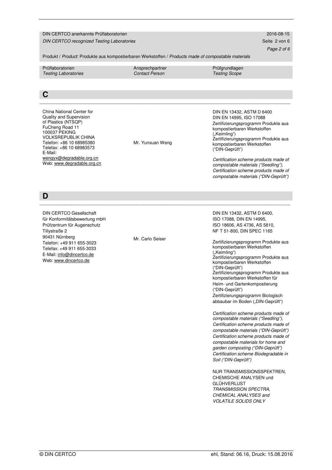#### DIN CERTCO anerkannte Prüflaboratorien 2016-08-15

DIN CERTCO recognized Testing Laboratories Seite 2 von 6 Seite 2 von 6 Seite 2 von 6

Page 2 of 6

Produkt / Product: Produkte aus kompostierbaren Werkstoffen / Products made of compostable materials

Prüflaboratorien **Ansprechpartner Prüfgrundlagen** Prüfgrundlagen Testing Laboratories Contact Person Testing Scope

#### **C**   $\mathcal{L}_\mathcal{L} = \{ \mathcal{L}_\mathcal{L} = \{ \mathcal{L}_\mathcal{L} = \{ \mathcal{L}_\mathcal{L} = \{ \mathcal{L}_\mathcal{L} = \{ \mathcal{L}_\mathcal{L} = \{ \mathcal{L}_\mathcal{L} = \{ \mathcal{L}_\mathcal{L} = \{ \mathcal{L}_\mathcal{L} = \{ \mathcal{L}_\mathcal{L} = \{ \mathcal{L}_\mathcal{L} = \{ \mathcal{L}_\mathcal{L} = \{ \mathcal{L}_\mathcal{L} = \{ \mathcal{L}_\mathcal{L} = \{ \mathcal{L}_\mathcal{$

China National Center for Quality and Supervision of Plastics (NTSQP) FuCheng Road 11 100037 PEKING VOLKSREPUBLIK CHINA Telefon: +86 10 68985380 Telefax: +86 10 68983573 E-Mail: wengyx@degradable.org.cn Web: www.degradable.org.cn

Mr. Yunxuan Weng

DIN EN 13432, ASTM D 6400 DIN EN 14995, ISO 17088 Zertifizierungsprogramm Produkte aus kompostierbaren Werkstoffen ("Keimling") Zertifizierungsprogramm Produkte aus kompostierbaren Werkstoffen ("DIN-Geprüft")

Certification scheme products made of compostable materials ("Seedling"), Certification scheme products made of compostable materials ("DIN-Geprüft")

**D** 

DIN CERTCO Gesellschaft für Konformitätsbewertung mbH Prüfzentrum für Augenschutz Tillystraße 2 90431 Nürnberg Telefon: +49 911 655-3023 Telefax: +49 911 655-3033 E-Mail: info@dincertco.de Web: www.dincertco.de

Mr. Carlo Seiser

 $\mathcal{L}_\mathcal{L} = \{ \mathcal{L}_\mathcal{L} = \{ \mathcal{L}_\mathcal{L} = \{ \mathcal{L}_\mathcal{L} = \{ \mathcal{L}_\mathcal{L} = \{ \mathcal{L}_\mathcal{L} = \{ \mathcal{L}_\mathcal{L} = \{ \mathcal{L}_\mathcal{L} = \{ \mathcal{L}_\mathcal{L} = \{ \mathcal{L}_\mathcal{L} = \{ \mathcal{L}_\mathcal{L} = \{ \mathcal{L}_\mathcal{L} = \{ \mathcal{L}_\mathcal{L} = \{ \mathcal{L}_\mathcal{L} = \{ \mathcal{L}_\mathcal{$ 

DIN EN 13432, ASTM D 6400, ISO 17088, DIN EN 14995, ISO 18606, AS 4736, AS 5810, NF T 51-800, DIN SPEC 1165

Zertifizierungsprogramm Produkte aus kompostierbaren Werkstoffen ("Keimling") Zertifizierungsprogramm Produkte aus kompostierbaren Werkstoffen ("DIN-Geprüft") Zertifizierungsprogramm Produkte aus kompostierbaren Werkstoffen für Heim- und Gartenkompostierung ("DIN-Geprüft") Zertifizierungsprogramm Biologisch abbaubar im Boden ("DIN-Geprüft")

Certification scheme products made of compostable materials ("Seedling"), Certification scheme products made of compostable materials ("DIN-Geprüft") Certification scheme products made of compostable materials for home and garden composting ("DIN-Geprüft") Certification scheme Biodegradable in Soil ("DIN-Geprüft")

NUR TRANSMISSIONSSPEKTREN, CHEMISCHE ANALYSEN und GLÜHVERLUST TRANSMISSION SPECTRA, CHEMICAL ANALYSES and VOLATILE SOLIDS ONLY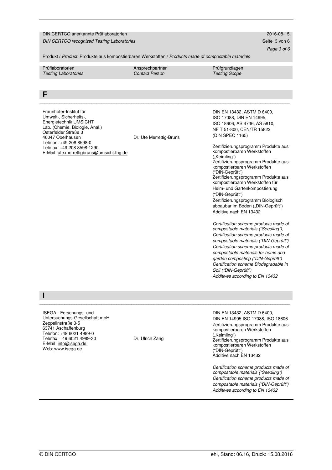#### DIN CERTCO anerkannte Prüflaboratorien 2016-08-15

DIN CERTCO recognized Testing Laboratories Seite 3 von 6 von 6 von 6 von 6 von 6 von 6 von 6 von 6 von 6 von 6

Page 3 of 6

Produkt / Product: Produkte aus kompostierbaren Werkstoffen / Products made of compostable materials

Prüflaboratorien **Ansprechpartner Prüfgrundlagen** Prüfgrundlagen

Testing Laboratories Contact Person Testing Scope

 $\mathcal{L}_\mathcal{L} = \{ \mathcal{L}_\mathcal{L} = \{ \mathcal{L}_\mathcal{L} = \{ \mathcal{L}_\mathcal{L} = \{ \mathcal{L}_\mathcal{L} = \{ \mathcal{L}_\mathcal{L} = \{ \mathcal{L}_\mathcal{L} = \{ \mathcal{L}_\mathcal{L} = \{ \mathcal{L}_\mathcal{L} = \{ \mathcal{L}_\mathcal{L} = \{ \mathcal{L}_\mathcal{L} = \{ \mathcal{L}_\mathcal{L} = \{ \mathcal{L}_\mathcal{L} = \{ \mathcal{L}_\mathcal{L} = \{ \mathcal{L}_\mathcal{$ 

Dr. Ute Merrettig-Bruns

### **F**

Fraunhofer-Institut für Umwelt-, Sicherheits-, Energietechnik UMSICHT Lab. (Chemie, Biologie, Anal.) Osterfelder Straße 3 46047 Oberhausen Telefon: +49 208 8598-0 Telefax: +49 208 8598-1290 E-Mail: ute.merrettigbruns@umsicht.fhg.de DIN EN 13432, ASTM D 6400, ISO 17088, DIN EN 14995, ISO 18606, AS 4736, AS 5810, NF T 51-800, CEN/TR 15822 (DIN SPEC 1165)

Zertifizierungsprogramm Produkte aus kompostierbaren Werkstoffen ("Keimling") Zertifizierungsprogramm Produkte aus kompostierbaren Werkstoffen ("DIN-Geprüft") Zertifizierungsprogramm Produkte aus kompostierbaren Werkstoffen für Heim- und Gartenkompostierung ("DIN-Geprüft") Zertifizierungsprogramm Biologisch abbaubar im Boden ("DIN-Geprüft") Additive nach EN 13432

Certification scheme products made of compostable materials ("Seedling"), Certification scheme products made of compostable materials ("DIN-Geprüft") Certification scheme products made of compostable materials for home and garden composting ("DIN-Geprüft") Certification scheme Biodegradable in Soil ("DIN-Geprüft") Additives according to EN 13432

ISEGA - Forschungs- und Untersuchungs-Gesellschaft mbH Zeppelinstraße 3-5 63741 Aschaffenburg Telefon: +49 6021 4989-0 Telefax: +49 6021 4989-30 E-Mail: info@isega.de Web: www.isega.de

**I** 

Dr. Ulrich Zang

 $\mathcal{L}_\mathcal{L} = \{ \mathcal{L}_\mathcal{L} = \{ \mathcal{L}_\mathcal{L} = \{ \mathcal{L}_\mathcal{L} = \{ \mathcal{L}_\mathcal{L} = \{ \mathcal{L}_\mathcal{L} = \{ \mathcal{L}_\mathcal{L} = \{ \mathcal{L}_\mathcal{L} = \{ \mathcal{L}_\mathcal{L} = \{ \mathcal{L}_\mathcal{L} = \{ \mathcal{L}_\mathcal{L} = \{ \mathcal{L}_\mathcal{L} = \{ \mathcal{L}_\mathcal{L} = \{ \mathcal{L}_\mathcal{L} = \{ \mathcal{L}_\mathcal{$ 

DIN EN 13432, ASTM D 6400, DIN EN 14995 ISO 17088, ISO 18606 Zertifizierungsprogramm Produkte aus kompostierbaren Werkstoffen ("Keimling") Zertifizierungsprogramm Produkte aus kompostierbaren Werkstoffen ("DIN-Geprüft") Additive nach EN 13432

Certification scheme products made of compostable materials ("Seedling") Certification scheme products made of compostable materials ("DIN-Geprüft") Additives according to EN 13432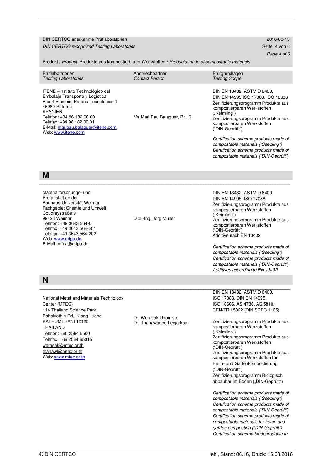#### DIN CERTCO anerkannte Prüflaboratorien 2016-08-15 DIN CERTCO recognized Testing Laboratories Seite 4 von 6

Page 4 of 6

Produkt / Product: Produkte aus kompostierbaren Werkstoffen / Products made of compostable materials

| Prüflaboratorien<br><b>Testing Laboratories</b>                                                                                                                                                                                                                         | Ansprechpartner<br><b>Contact Person</b> | Prüfgrundlagen<br><b>Testing Scope</b>                                                                                                                                                                                                           |
|-------------------------------------------------------------------------------------------------------------------------------------------------------------------------------------------------------------------------------------------------------------------------|------------------------------------------|--------------------------------------------------------------------------------------------------------------------------------------------------------------------------------------------------------------------------------------------------|
| ITENE - Instituto Technológico del<br>Embalaje Transporte y Logistica<br>Albert Einstein, Parque Tecnológico 1<br>46980 Paterna<br><b>SPANIEN</b><br>Telefon: +34 96 182 00 00<br>Telefax: +34 96 182 00 01<br>E-Mail: maripau.balaquer@itene.com<br>Web: www.itene.com | Ms Mari Pau Balaguer, Ph. D.             | DIN EN 13432, ASTM D 6400,<br>DIN EN 14995 ISO 17088, ISO 18606<br>Zertifizierungsprogramm Produkte aus<br>kompostierbaren Werkstoffen<br>("Keimling")<br>Zertifizierungsprogramm Produkte aus<br>kompostierbaren Werkstoffen<br>("DIN-Geprüft") |
|                                                                                                                                                                                                                                                                         |                                          | Certification scheme products made of<br>compostable materials ("Seedling")<br>Certification scheme products made of<br>compostable materials ("DIN-Geprüft")                                                                                    |

\_\_\_\_\_\_\_\_\_\_\_\_\_\_\_\_\_\_\_\_\_\_\_\_\_\_\_\_\_\_\_\_\_\_\_\_\_\_\_\_\_\_\_\_\_\_\_\_\_\_\_\_\_\_\_\_\_\_\_\_\_\_\_\_\_\_\_\_\_\_\_\_\_\_\_\_\_\_\_\_\_\_\_\_\_\_\_\_\_\_\_\_\_\_\_\_\_\_\_\_\_

### **M**

| Materialforschungs- und<br>Prüfanstalt an der<br>Bauhaus-Universität Weimar<br>Fachgebiet Chemie und Umwelt<br>Coudraystraße 9<br>99423 Weimar<br>Telefon: +49 3643 564-0<br>Telefax: +49 3643 564-201<br>Telefax: +49 3643 564-202<br>Web: www.mfpa.de<br>E-Mail: mfpa@mfpa.de       | Dipl.-Ing. Jörg Müller                           | DIN EN 13432, ASTM D 6400<br>DIN EN 14995, ISO 17088<br>Zertifizierungsprogramm Produkte aus<br>kompostierbaren Werkstoffen<br>("Keimling")<br>Zertifizierungsprogramm Produkte aus<br>kompostierbaren Werkstoffen<br>("DIN-Geprüft")<br>Additive nach EN 13432<br>Certification scheme products made of<br>compostable materials ("Seedling")<br>Certification scheme products made of<br>compostable materials ("DIN-Geprüft")<br>Additives according to EN 13432                                                                                                                              |
|---------------------------------------------------------------------------------------------------------------------------------------------------------------------------------------------------------------------------------------------------------------------------------------|--------------------------------------------------|--------------------------------------------------------------------------------------------------------------------------------------------------------------------------------------------------------------------------------------------------------------------------------------------------------------------------------------------------------------------------------------------------------------------------------------------------------------------------------------------------------------------------------------------------------------------------------------------------|
| N                                                                                                                                                                                                                                                                                     |                                                  |                                                                                                                                                                                                                                                                                                                                                                                                                                                                                                                                                                                                  |
| National Metal and Materials Technology<br>Center (MTEC)<br>114 Thailand Science Park<br>Paholyothin Rd., Klong Luang<br>PATHUMTHANI 12120<br><b>THAILAND</b><br>Telefon: +66 2564 6500<br>Telefax: +66 2564 65015<br>werasak@mtec.or.th<br>thanawl@mtec.or.th<br>Web: www.mtec.or.th | Dr. Werasak Udomkic<br>Dr. Thanawadee Leejarkpai | DIN EN 13432, ASTM D 6400,<br>ISO 17088, DIN EN 14995,<br>ISO 18606, AS 4736, AS 5810,<br>CEN/TR 15822 (DIN SPEC 1165)<br>Zertifizierungsprogramm Produkte aus<br>kompostierbaren Werkstoffen<br>("Keimling")<br>Zertifizierungsprogramm Produkte aus<br>kompostierbaren Werkstoffen<br>("DIN-Geprüft")<br>Zertifizierungsprogramm Produkte aus<br>kompostierbaren Werkstoffen für<br>Heim- und Gartenkompostierung<br>("DIN-Geprüft")<br>Zertifizierungsprogramm Biologisch<br>abbaubar im Boden ("DIN-Geprüft")<br>Certification scheme products made of<br>compostable materials ("Seedling") |

Certification scheme products made of compostable materials ("DIN-Geprüft") Certification scheme products made of compostable materials for home and garden composting ("DIN-Geprüft") Certification scheme biodegradable in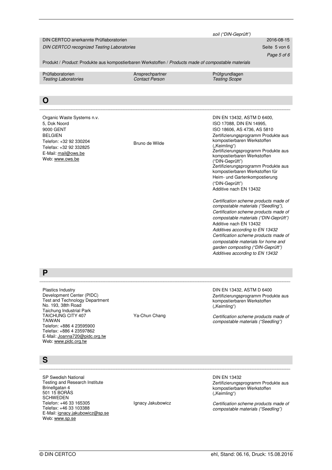|                                                                                                                                                                                                                                                                                                         |                                          | soil ("DIN-Geprüft")                                                                                                                                                                                                                                                                                                                                                                                                                                                                                                                                                                                                                                                                                                                                                                                                  |
|---------------------------------------------------------------------------------------------------------------------------------------------------------------------------------------------------------------------------------------------------------------------------------------------------------|------------------------------------------|-----------------------------------------------------------------------------------------------------------------------------------------------------------------------------------------------------------------------------------------------------------------------------------------------------------------------------------------------------------------------------------------------------------------------------------------------------------------------------------------------------------------------------------------------------------------------------------------------------------------------------------------------------------------------------------------------------------------------------------------------------------------------------------------------------------------------|
| DIN CERTCO anerkannte Prüflaboratorien                                                                                                                                                                                                                                                                  | 2016-08-15                               |                                                                                                                                                                                                                                                                                                                                                                                                                                                                                                                                                                                                                                                                                                                                                                                                                       |
| <b>DIN CERTCO recognized Testing Laboratories</b>                                                                                                                                                                                                                                                       |                                          | Seite 5 von 6                                                                                                                                                                                                                                                                                                                                                                                                                                                                                                                                                                                                                                                                                                                                                                                                         |
|                                                                                                                                                                                                                                                                                                         |                                          | Page 5 of 6                                                                                                                                                                                                                                                                                                                                                                                                                                                                                                                                                                                                                                                                                                                                                                                                           |
| Produkt / Product: Produkte aus kompostierbaren Werkstoffen / Products made of compostable materials                                                                                                                                                                                                    |                                          |                                                                                                                                                                                                                                                                                                                                                                                                                                                                                                                                                                                                                                                                                                                                                                                                                       |
| Prüflaboratorien<br><b>Testing Laboratories</b>                                                                                                                                                                                                                                                         | Ansprechpartner<br><b>Contact Person</b> | Prüfgrundlagen<br><b>Testing Scope</b>                                                                                                                                                                                                                                                                                                                                                                                                                                                                                                                                                                                                                                                                                                                                                                                |
|                                                                                                                                                                                                                                                                                                         |                                          |                                                                                                                                                                                                                                                                                                                                                                                                                                                                                                                                                                                                                                                                                                                                                                                                                       |
| O                                                                                                                                                                                                                                                                                                       |                                          |                                                                                                                                                                                                                                                                                                                                                                                                                                                                                                                                                                                                                                                                                                                                                                                                                       |
| Organic Waste Systems n.v.<br>5, Dok Noord<br>9000 GENT<br><b>BELGIEN</b><br>Telefon: +32 92 330204<br>Telefax: +32 92 332825<br>E-Mail: mail@ows.be<br>Web: www.ows.be                                                                                                                                 | Bruno de Wilde                           | DIN EN 13432, ASTM D 6400,<br>ISO 17088, DIN EN 14995,<br>ISO 18606, AS 4736, AS 5810<br>Zertifizierungsprogramm Produkte aus<br>kompostierbaren Werkstoffen<br>("Keimling")<br>Zertifizierungsprogramm Produkte aus<br>kompostierbaren Werkstoffen<br>("DIN-Geprüft")<br>Zertifizierungsprogramm Produkte aus<br>kompostierbaren Werkstoffen für<br>Heim- und Gartenkompostierung<br>("DIN-Geprüft")<br>Additive nach EN 13432<br>Certification scheme products made of<br>compostable materials ("Seedling"),<br>Certification scheme products made of<br>compostable materials ("DIN-Geprüft")<br>Additive nach EN 13432<br>Additives according to EN 13432<br>Certification scheme products made of<br>compostable materials for home and<br>garden composting ("DIN-Geprüft")<br>Additives according to EN 13432 |
| Ρ                                                                                                                                                                                                                                                                                                       |                                          |                                                                                                                                                                                                                                                                                                                                                                                                                                                                                                                                                                                                                                                                                                                                                                                                                       |
| Plastics Industry<br>Development Center (PIDC)<br>Test and Technology Department<br>No. 193, 38th Road<br><b>Taichung Industrial Park</b><br><b>TAICHUNG CITY 407</b><br><b>TAIWAN</b><br>Telefon: +886 4 23595900<br>Telefax: +886 4 23597862<br>E-Mail: Joanna720@pidc.org.tw<br>Web: www.pidc.org.tw | Ya-Chun Chang                            | DIN EN 13432, ASTM D 6400<br>Zertifizierungsprogramm Produkte aus<br>kompostierbaren Werkstoffen<br>("Keimling")<br>Certification scheme products made of<br>compostable materials ("Seedling")                                                                                                                                                                                                                                                                                                                                                                                                                                                                                                                                                                                                                       |
| S                                                                                                                                                                                                                                                                                                       |                                          |                                                                                                                                                                                                                                                                                                                                                                                                                                                                                                                                                                                                                                                                                                                                                                                                                       |
|                                                                                                                                                                                                                                                                                                         |                                          |                                                                                                                                                                                                                                                                                                                                                                                                                                                                                                                                                                                                                                                                                                                                                                                                                       |
| <b>SP Swedish National</b><br>Testing and Research Institute<br>Brinellgatan 4<br>501 15 BORÅS<br><b>SCHWEDEN</b><br>Telefon: +46 33 165305<br>Telefax: +46 33 103388                                                                                                                                   | Ignacy Jakubowicz                        | <b>DIN EN 13432</b><br>Zertifizierungsprogramm Produkte aus<br>kompostierbaren Werkstoffen<br>("Keimling")<br>Certification scheme products made of<br>compostable materials ("Seedling")                                                                                                                                                                                                                                                                                                                                                                                                                                                                                                                                                                                                                             |